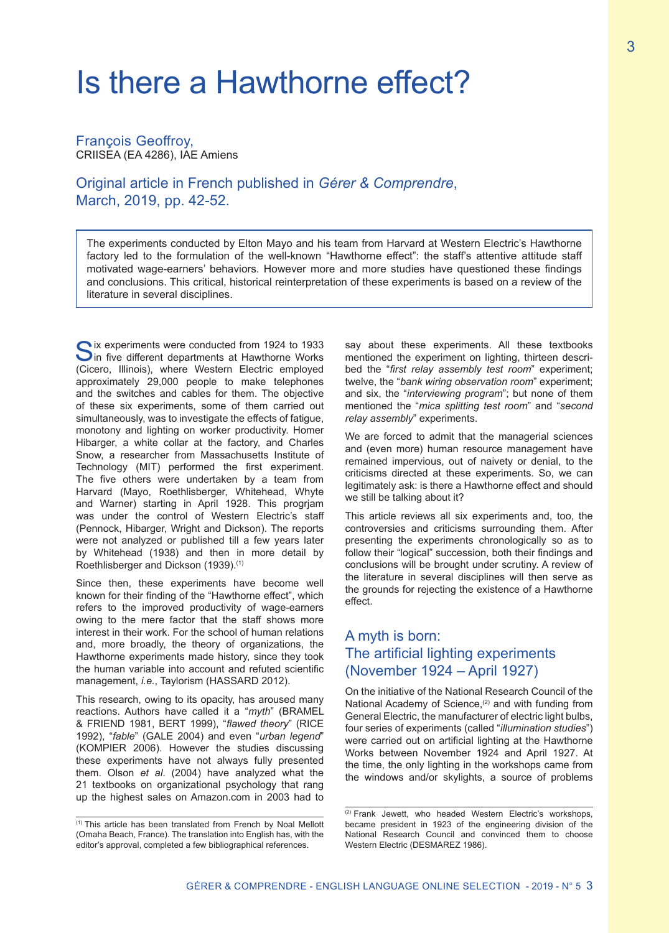# Is there a Hawthorne effect?

#### François Geoffroy, CRIISEA (EA 4286), IAE Amiens

Original article in French published in *Gérer & Comprendre*, March, 2019, pp. 42-52.

The experiments conducted by Elton Mayo and his team from Harvard at Western Electric's Hawthorne factory led to the formulation of the well-known "Hawthorne effect": the staff's attentive attitude staff motivated wage-earners' behaviors. However more and more studies have questioned these findings and conclusions. This critical, historical reinterpretation of these experiments is based on a review of the literature in several disciplines.

ix experiments were conducted from 1924 to 1933 In five different departments at Hawthorne Works (Cicero, Illinois), where Western Electric employed approximately 29,000 people to make telephones and the switches and cables for them. The objective of these six experiments, some of them carried out simultaneously, was to investigate the effects of fatigue, monotony and lighting on worker productivity. Homer Hibarger, a white collar at the factory, and Charles Snow, a researcher from Massachusetts Institute of Technology (MIT) performed the first experiment. The five others were undertaken by a team from Harvard (Mayo, Roethlisberger, Whitehead, Whyte and Warner) starting in April 1928. This progrjam was under the control of Western Electric's staff (Pennock, Hibarger, Wright and Dickson). The reports were not analyzed or published till a few years later by Whitehead (1938) and then in more detail by Roethlisberger and Dickson (1939).(1)

Since then, these experiments have become well known for their finding of the "Hawthorne effect", which refers to the improved productivity of wage-earners owing to the mere factor that the staff shows more interest in their work. For the school of human relations and, more broadly, the theory of organizations, the Hawthorne experiments made history, since they took the human variable into account and refuted scientific management, *i.e.*, Taylorism (HASSARD 2012).

This research, owing to its opacity, has aroused many reactions. Authors have called it a "*myth*" (BRAMEL & FRIEND 1981, BERT 1999), "*flawed theory*" (RICE 1992), "*fable*" (GALE 2004) and even "*urban legend*" (KOMPIER 2006). However the studies discussing these experiments have not always fully presented them. Olson *et al*. (2004) have analyzed what the 21 textbooks on organizational psychology that rang up the highest sales on Amazon.com in 2003 had to say about these experiments. All these textbooks mentioned the experiment on lighting, thirteen described the "*first relay assembly test room*" experiment; twelve, the "*bank wiring observation room*" experiment; and six, the "*interviewing program*"; but none of them mentioned the "*mica splitting test room*" and "*second relay assembly*" experiments.

We are forced to admit that the managerial sciences and (even more) human resource management have remained impervious, out of naivety or denial, to the criticisms directed at these experiments. So, we can legitimately ask: is there a Hawthorne effect and should we still be talking about it?

This article reviews all six experiments and, too, the controversies and criticisms surrounding them. After presenting the experiments chronologically so as to follow their "logical" succession, both their findings and conclusions will be brought under scrutiny. A review of the literature in several disciplines will then serve as the grounds for rejecting the existence of a Hawthorne effect.

## A myth is born: The artificial lighting experiments (November 1924 – April 1927)

On the initiative of the National Research Council of the National Academy of Science,<sup>(2)</sup> and with funding from General Electric, the manufacturer of electric light bulbs, four series of experiments (called "*illumination studies*") were carried out on artificial lighting at the Hawthorne Works between November 1924 and April 1927. At the time, the only lighting in the workshops came from the windows and/or skylights, a source of problems

<sup>(1)</sup> This article has been translated from French by Noal Mellott (Omaha Beach, France). The translation into English has, with the editor's approval, completed a few bibliographical references.

<sup>(2)</sup> Frank Jewett, who headed Western Electric's workshops, became president in 1923 of the engineering division of the National Research Council and convinced them to choose Western Electric (DESMAREZ 1986).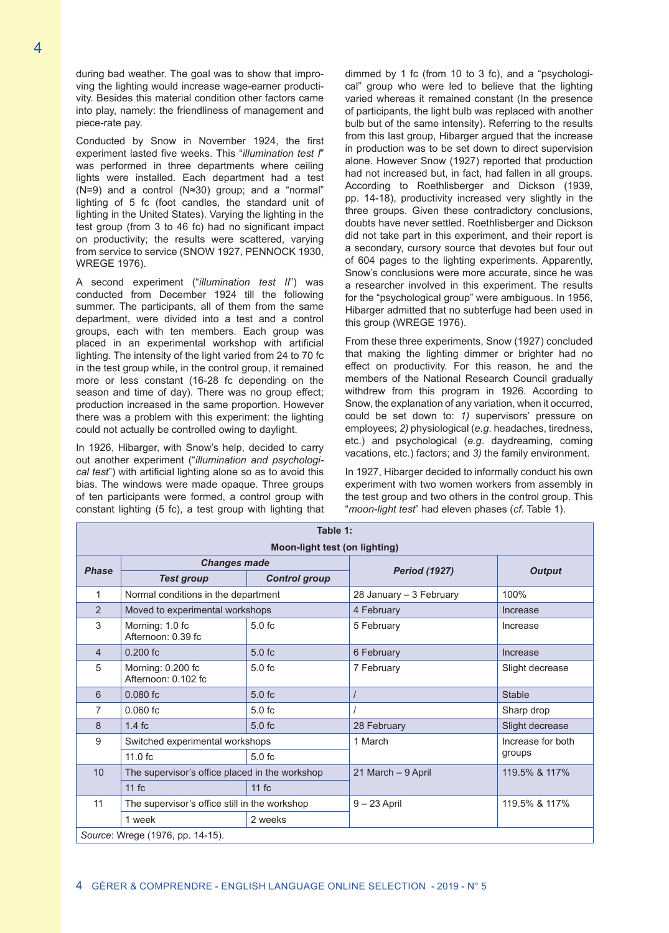during bad weather. The goal was to show that improving the lighting would increase wage-earner productivity. Besides this material condition other factors came into play, namely: the friendliness of management and piece-rate pay.

Conducted by Snow in November 1924, the first experiment lasted five weeks. This "*illumination test I*" was performed in three departments where ceiling lights were installed. Each department had a test (N=9) and a control (N≈30) group; and a "normal" lighting of 5 fc (foot candles, the standard unit of lighting in the United States). Varying the lighting in the test group (from 3 to 46 fc) had no significant impact on productivity; the results were scattered, varying from service to service (SNOW 1927, PENNOCK 1930, WREGE 1976).

A second experiment ("*illumination test II*") was conducted from December 1924 till the following summer. The participants, all of them from the same department, were divided into a test and a control groups, each with ten members. Each group was placed in an experimental workshop with artificial lighting. The intensity of the light varied from 24 to 70 fc in the test group while, in the control group, it remained more or less constant (16-28 fc depending on the season and time of day). There was no group effect; production increased in the same proportion. However there was a problem with this experiment: the lighting could not actually be controlled owing to daylight.

In 1926, Hibarger, with Snow's help, decided to carry out another experiment ("*illumination and psychological test*") with artificial lighting alone so as to avoid this bias. The windows were made opaque. Three groups of ten participants were formed, a control group with constant lighting (5 fc), a test group with lighting that dimmed by 1 fc (from 10 to 3 fc), and a "psychological" group who were led to believe that the lighting varied whereas it remained constant (In the presence of participants, the light bulb was replaced with another bulb but of the same intensity). Referring to the results from this last group, Hibarger argued that the increase in production was to be set down to direct supervision alone. However Snow (1927) reported that production had not increased but, in fact, had fallen in all groups. According to Roethlisberger and Dickson (1939, pp. 14-18), productivity increased very slightly in the three groups. Given these contradictory conclusions, doubts have never settled. Roethlisberger and Dickson did not take part in this experiment, and their report is a secondary, cursory source that devotes but four out of 604 pages to the lighting experiments. Apparently, Snow's conclusions were more accurate, since he was a researcher involved in this experiment. The results for the "psychological group" were ambiguous. In 1956, Hibarger admitted that no subterfuge had been used in this group (WREGE 1976).

From these three experiments, Snow (1927) concluded that making the lighting dimmer or brighter had no effect on productivity. For this reason, he and the members of the National Research Council gradually withdrew from this program in 1926. According to Snow, the explanation of any variation, when it occurred, could be set down to: *1)* supervisors' pressure on employees; *2)* physiological (*e.g*. headaches, tiredness, etc.) and psychological (*e.g*. daydreaming, coming vacations, etc.) factors; and *3)* the family environment.

In 1927, Hibarger decided to informally conduct his own experiment with two women workers from assembly in the test group and two others in the control group. This "*moon-light test*" had eleven phases (*cf*. Table 1).

| Table 1:                         |                                                |                      |                         |                   |
|----------------------------------|------------------------------------------------|----------------------|-------------------------|-------------------|
| Moon-light test (on lighting)    |                                                |                      |                         |                   |
| <b>Phase</b>                     | <b>Changes made</b>                            |                      |                         |                   |
|                                  | <b>Test group</b>                              | <b>Control group</b> | <b>Period (1927)</b>    | <b>Output</b>     |
| 1                                | Normal conditions in the department            |                      | 28 January - 3 February | 100%              |
| $\mathcal{P}$                    | Moved to experimental workshops                |                      | 4 February              | Increase          |
| 3                                | Morning: 1.0 fc<br>Afternoon: 0.39 fc          | $5.0 f$ c            | 5 February              | Increase          |
| $\overline{4}$                   | $0.200$ fc                                     | 5.0 f <sub>c</sub>   | 6 February              | Increase          |
| 5                                | Morning: 0.200 fc<br>Afternoon: 0.102 fc       | 5.0 f <sub>c</sub>   | 7 February              | Slight decrease   |
| 6                                | $0.080$ fc                                     | 5.0 f <sub>c</sub>   |                         | <b>Stable</b>     |
| 7                                | $0.060$ fc                                     | $5.0 f$ c            |                         | Sharp drop        |
| 8                                | $1.4$ fc                                       | 5.0 f <sub>c</sub>   | 28 February             | Slight decrease   |
| 9                                | Switched experimental workshops                |                      | 1 March                 | Increase for both |
|                                  | $11.0$ fc                                      | 5.0 f <sub>c</sub>   |                         | groups            |
| 10                               | The supervisor's office placed in the workshop |                      | 21 March - 9 April      | 119.5% & 117%     |
|                                  | 11fc                                           | $11$ fc              |                         |                   |
| 11                               | The supervisor's office still in the workshop  |                      | $9 - 23$ April          | 119.5% & 117%     |
|                                  | 1 week                                         | 2 weeks              |                         |                   |
| Source: Wrege (1976, pp. 14-15). |                                                |                      |                         |                   |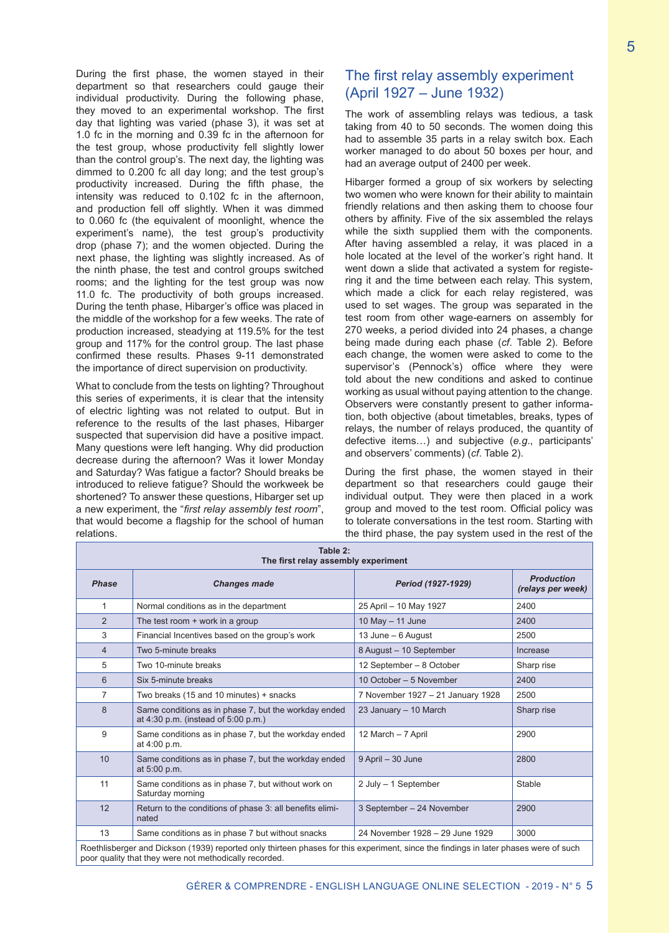During the first phase, the women stayed in their department so that researchers could gauge their individual productivity. During the following phase, they moved to an experimental workshop. The first day that lighting was varied (phase 3), it was set at 1.0 fc in the morning and 0.39 fc in the afternoon for the test group, whose productivity fell slightly lower than the control group's. The next day, the lighting was dimmed to 0.200 fc all day long; and the test group's productivity increased. During the fifth phase, the intensity was reduced to 0.102 fc in the afternoon, and production fell off slightly. When it was dimmed to 0.060 fc (the equivalent of moonlight, whence the experiment's name), the test group's productivity drop (phase 7); and the women objected. During the next phase, the lighting was slightly increased. As of the ninth phase, the test and control groups switched rooms; and the lighting for the test group was now 11.0 fc. The productivity of both groups increased. During the tenth phase, Hibarger's office was placed in the middle of the workshop for a few weeks. The rate of production increased, steadying at 119.5% for the test group and 117% for the control group. The last phase confirmed these results. Phases 9-11 demonstrated the importance of direct supervision on productivity.

What to conclude from the tests on lighting? Throughout this series of experiments, it is clear that the intensity of electric lighting was not related to output. But in reference to the results of the last phases, Hibarger suspected that supervision did have a positive impact. Many questions were left hanging. Why did production decrease during the afternoon? Was it lower Monday and Saturday? Was fatigue a factor? Should breaks be introduced to relieve fatigue? Should the workweek be shortened? To answer these questions, Hibarger set up a new experiment, the "*first relay assembly test room*", that would become a flagship for the school of human relations.

# The first relay assembly experiment (April 1927 – June 1932)

The work of assembling relays was tedious, a task taking from 40 to 50 seconds. The women doing this had to assemble 35 parts in a relay switch box. Each worker managed to do about 50 boxes per hour, and had an average output of 2400 per week.

Hibarger formed a group of six workers by selecting two women who were known for their ability to maintain friendly relations and then asking them to choose four others by affinity. Five of the six assembled the relays while the sixth supplied them with the components. After having assembled a relay, it was placed in a hole located at the level of the worker's right hand. It went down a slide that activated a system for registering it and the time between each relay. This system, which made a click for each relay registered, was used to set wages. The group was separated in the test room from other wage-earners on assembly for 270 weeks, a period divided into 24 phases, a change being made during each phase (*cf*. Table 2). Before each change, the women were asked to come to the supervisor's (Pennock's) office where they were told about the new conditions and asked to continue working as usual without paying attention to the change. Observers were constantly present to gather information, both objective (about timetables, breaks, types of relays, the number of relays produced, the quantity of defective items…) and subjective (*e.g*., participants' and observers' comments) (*cf*. Table 2).

During the first phase, the women stayed in their department so that researchers could gauge their individual output. They were then placed in a work group and moved to the test room. Official policy was to tolerate conversations in the test room. Starting with the third phase, the pay system used in the rest of the

| Table 2:<br>The first relay assembly experiment |                                                                                             |                                   |                                        |  |
|-------------------------------------------------|---------------------------------------------------------------------------------------------|-----------------------------------|----------------------------------------|--|
| <b>Phase</b>                                    | <b>Changes made</b>                                                                         | Period (1927-1929)                | <b>Production</b><br>(relays per week) |  |
| 1                                               | Normal conditions as in the department                                                      | 25 April - 10 May 1927            | 2400                                   |  |
| 2                                               | The test room $+$ work in a group                                                           | 10 May $-$ 11 June                | 2400                                   |  |
| 3                                               | Financial Incentives based on the group's work                                              | 13 June – 6 August                | 2500                                   |  |
| 4                                               | Two 5-minute breaks                                                                         | 8 August - 10 September           | Increase                               |  |
| 5                                               | Two 10-minute breaks                                                                        | 12 September - 8 October          | Sharp rise                             |  |
| 6                                               | Six 5-minute breaks                                                                         | 10 October - 5 November           | 2400                                   |  |
| $\overline{7}$                                  | Two breaks (15 and 10 minutes) + snacks                                                     | 7 November 1927 - 21 January 1928 | 2500                                   |  |
| 8                                               | Same conditions as in phase 7, but the workday ended<br>at 4:30 p.m. (instead of 5:00 p.m.) | 23 January - 10 March             | Sharp rise                             |  |
| 9                                               | Same conditions as in phase 7, but the workday ended<br>at 4:00 p.m.                        | 12 March - 7 April                | 2900                                   |  |
| 10                                              | Same conditions as in phase 7, but the workday ended<br>at 5:00 p.m.                        | 9 April - 30 June                 | 2800                                   |  |
| 11                                              | Same conditions as in phase 7, but without work on<br>Saturday morning                      | 2 July - 1 September              | Stable                                 |  |
| 12                                              | Return to the conditions of phase 3: all benefits elimi-<br>nated                           | 3 September - 24 November         | 2900                                   |  |
| 13                                              | Same conditions as in phase 7 but without snacks                                            | 24 November 1928 - 29 June 1929   | 3000                                   |  |

Roethlisberger and Dickson (1939) reported only thirteen phases for this experiment, since the findings in later phases were of such poor quality that they were not methodically recorded.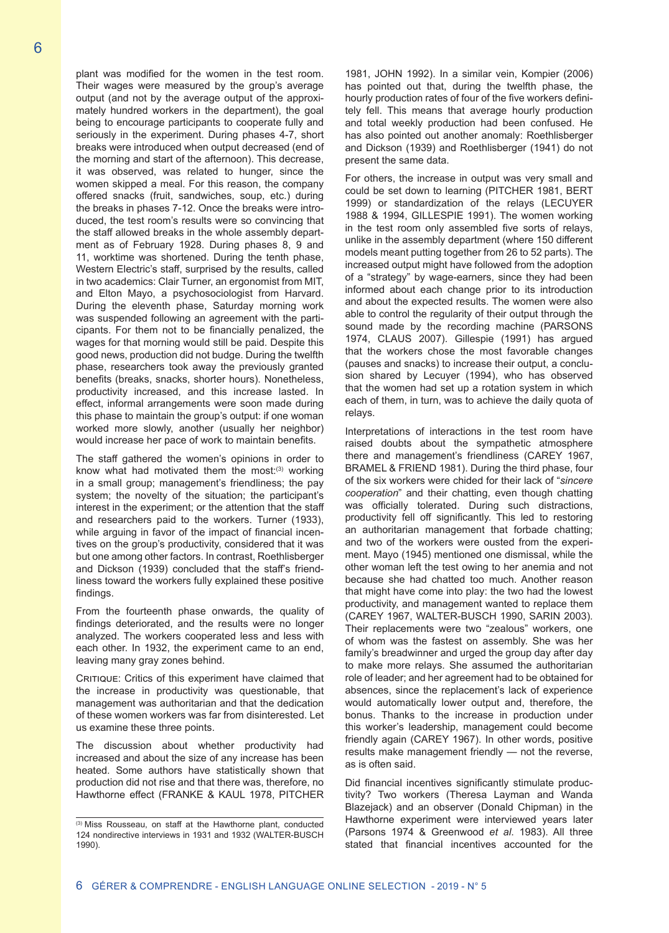plant was modified for the women in the test room. Their wages were measured by the group's average output (and not by the average output of the approximately hundred workers in the department), the goal being to encourage participants to cooperate fully and seriously in the experiment. During phases 4-7, short breaks were introduced when output decreased (end of the morning and start of the afternoon). This decrease, it was observed, was related to hunger, since the women skipped a meal. For this reason, the company offered snacks (fruit, sandwiches, soup, etc.) during the breaks in phases 7-12. Once the breaks were introduced, the test room's results were so convincing that the staff allowed breaks in the whole assembly department as of February 1928. During phases 8, 9 and 11, worktime was shortened. During the tenth phase, Western Electric's staff, surprised by the results, called in two academics: Clair Turner, an ergonomist from MIT, and Elton Mayo, a psychosociologist from Harvard. During the eleventh phase, Saturday morning work was suspended following an agreement with the participants. For them not to be financially penalized, the wages for that morning would still be paid. Despite this good news, production did not budge. During the twelfth phase, researchers took away the previously granted benefits (breaks, snacks, shorter hours). Nonetheless, productivity increased, and this increase lasted. In effect, informal arrangements were soon made during this phase to maintain the group's output: if one woman worked more slowly, another (usually her neighbor)

The staff gathered the women's opinions in order to know what had motivated them the most: $(3)$  working in a small group; management's friendliness; the pay system; the novelty of the situation; the participant's interest in the experiment; or the attention that the staff and researchers paid to the workers. Turner (1933), while arguing in favor of the impact of financial incentives on the group's productivity, considered that it was but one among other factors. In contrast, Roethlisberger and Dickson (1939) concluded that the staff's friendliness toward the workers fully explained these positive findings.

would increase her pace of work to maintain benefits.

From the fourteenth phase onwards, the quality of findings deteriorated, and the results were no longer analyzed. The workers cooperated less and less with each other. In 1932, the experiment came to an end, leaving many gray zones behind.

CRITIQUE: Critics of this experiment have claimed that the increase in productivity was questionable, that management was authoritarian and that the dedication of these women workers was far from disinterested. Let us examine these three points.

The discussion about whether productivity had increased and about the size of any increase has been heated. Some authors have statistically shown that production did not rise and that there was, therefore, no Hawthorne effect (FRANKE & KAUL 1978, PITCHER

1981, JOHN 1992). In a similar vein, Kompier (2006) has pointed out that, during the twelfth phase, the hourly production rates of four of the five workers definitely fell. This means that average hourly production and total weekly production had been confused. He has also pointed out another anomaly: Roethlisberger and Dickson (1939) and Roethlisberger (1941) do not present the same data.

For others, the increase in output was very small and could be set down to learning (PITCHER 1981, BERT 1999) or standardization of the relays (LECUYER 1988 & 1994, GILLESPIE 1991). The women working in the test room only assembled five sorts of relays, unlike in the assembly department (where 150 different models meant putting together from 26 to 52 parts). The increased output might have followed from the adoption of a "strategy" by wage-earners, since they had been informed about each change prior to its introduction and about the expected results. The women were also able to control the regularity of their output through the sound made by the recording machine (PARSONS 1974, CLAUS 2007). Gillespie (1991) has argued that the workers chose the most favorable changes (pauses and snacks) to increase their output, a conclusion shared by Lecuyer (1994), who has observed that the women had set up a rotation system in which each of them, in turn, was to achieve the daily quota of relays.

Interpretations of interactions in the test room have raised doubts about the sympathetic atmosphere there and management's friendliness (CAREY 1967, BRAMEL & FRIEND 1981). During the third phase, four of the six workers were chided for their lack of "*sincere cooperation*" and their chatting, even though chatting was officially tolerated. During such distractions, productivity fell off significantly. This led to restoring an authoritarian management that forbade chatting; and two of the workers were ousted from the experiment. Mayo (1945) mentioned one dismissal, while the other woman left the test owing to her anemia and not because she had chatted too much. Another reason that might have come into play: the two had the lowest productivity, and management wanted to replace them (CAREY 1967, WALTER-BUSCH 1990, SARIN 2003). Their replacements were two "zealous" workers, one of whom was the fastest on assembly. She was her family's breadwinner and urged the group day after day to make more relays. She assumed the authoritarian role of leader; and her agreement had to be obtained for absences, since the replacement's lack of experience would automatically lower output and, therefore, the bonus. Thanks to the increase in production under this worker's leadership, management could become friendly again (CAREY 1967). In other words, positive results make management friendly — not the reverse, as is often said.

Did financial incentives significantly stimulate productivity? Two workers (Theresa Layman and Wanda Blazejack) and an observer (Donald Chipman) in the Hawthorne experiment were interviewed years later (Parsons 1974 & Greenwood *et al*. 1983). All three stated that financial incentives accounted for the

<sup>(3)</sup> Miss Rousseau, on staff at the Hawthorne plant, conducted 124 nondirective interviews in 1931 and 1932 (WALTER-BUSCH 1990).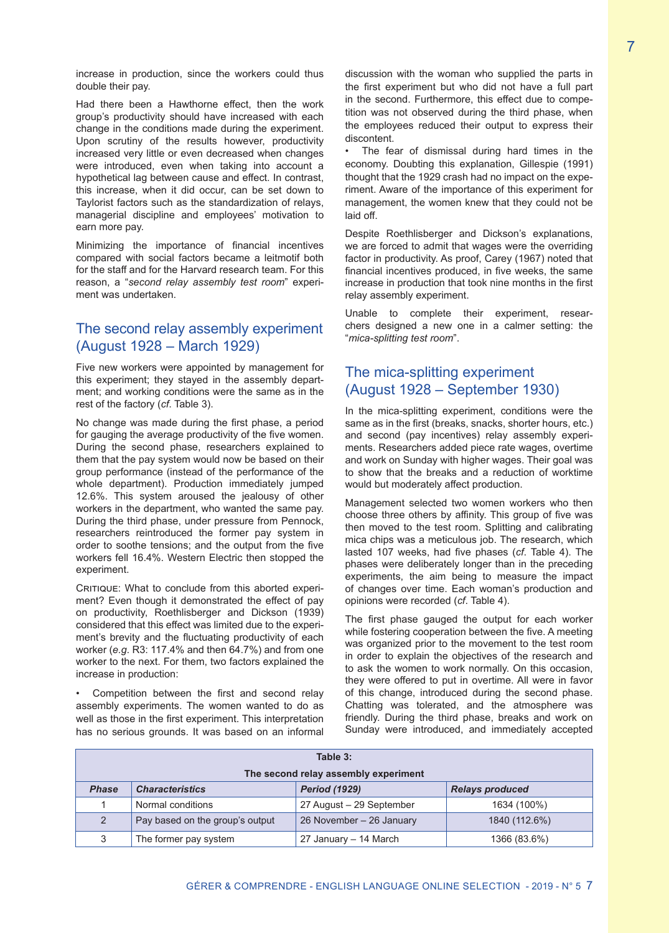increase in production, since the workers could thus double their pay.

Had there been a Hawthorne effect, then the work group's productivity should have increased with each change in the conditions made during the experiment. Upon scrutiny of the results however, productivity increased very little or even decreased when changes were introduced, even when taking into account a hypothetical lag between cause and effect. In contrast, this increase, when it did occur, can be set down to Taylorist factors such as the standardization of relays, managerial discipline and employees' motivation to earn more pay.

Minimizing the importance of financial incentives compared with social factors became a leitmotif both for the staff and for the Harvard research team. For this reason, a "*second relay assembly test room*" experiment was undertaken.

#### The second relay assembly experiment (August 1928 – March 1929)

Five new workers were appointed by management for this experiment; they stayed in the assembly department; and working conditions were the same as in the rest of the factory (*cf*. Table 3).

No change was made during the first phase, a period for gauging the average productivity of the five women. During the second phase, researchers explained to them that the pay system would now be based on their group performance (instead of the performance of the whole department). Production immediately jumped 12.6%. This system aroused the jealousy of other workers in the department, who wanted the same pay. During the third phase, under pressure from Pennock, researchers reintroduced the former pay system in order to soothe tensions; and the output from the five workers fell 16.4%. Western Electric then stopped the experiment.

CRITIQUE: What to conclude from this aborted experiment? Even though it demonstrated the effect of pay on productivity, Roethlisberger and Dickson (1939) considered that this effect was limited due to the experiment's brevity and the fluctuating productivity of each worker (*e.g*. R3: 117.4% and then 64.7%) and from one worker to the next. For them, two factors explained the increase in production:

Competition between the first and second relay assembly experiments. The women wanted to do as well as those in the first experiment. This interpretation has no serious grounds. It was based on an informal discussion with the woman who supplied the parts in the first experiment but who did not have a full part in the second. Furthermore, this effect due to competition was not observed during the third phase, when the employees reduced their output to express their discontent.

The fear of dismissal during hard times in the economy. Doubting this explanation, Gillespie (1991) thought that the 1929 crash had no impact on the experiment. Aware of the importance of this experiment for management, the women knew that they could not be laid off.

Despite Roethlisberger and Dickson's explanations, we are forced to admit that wages were the overriding factor in productivity. As proof, Carey (1967) noted that financial incentives produced, in five weeks, the same increase in production that took nine months in the first relay assembly experiment.

Unable to complete their experiment, researchers designed a new one in a calmer setting: the "*mica-splitting test room*".

## The mica-splitting experiment (August 1928 – September 1930)

In the mica-splitting experiment, conditions were the same as in the first (breaks, snacks, shorter hours, etc.) and second (pay incentives) relay assembly experiments. Researchers added piece rate wages, overtime and work on Sunday with higher wages. Their goal was to show that the breaks and a reduction of worktime would but moderately affect production.

Management selected two women workers who then choose three others by affinity. This group of five was then moved to the test room. Splitting and calibrating mica chips was a meticulous job. The research, which lasted 107 weeks, had five phases (*cf*. Table 4). The phases were deliberately longer than in the preceding experiments, the aim being to measure the impact of changes over time. Each woman's production and opinions were recorded (*cf*. Table 4).

The first phase gauged the output for each worker while fostering cooperation between the five. A meeting was organized prior to the movement to the test room in order to explain the objectives of the research and to ask the women to work normally. On this occasion, they were offered to put in overtime. All were in favor of this change, introduced during the second phase. Chatting was tolerated, and the atmosphere was friendly. During the third phase, breaks and work on Sunday were introduced, and immediately accepted

| Table 3:                             |                                 |                          |                        |  |
|--------------------------------------|---------------------------------|--------------------------|------------------------|--|
| The second relay assembly experiment |                                 |                          |                        |  |
| <b>Phase</b>                         | <b>Characteristics</b>          | <b>Period (1929)</b>     | <b>Relays produced</b> |  |
|                                      | Normal conditions               | 27 August - 29 September | 1634 (100%)            |  |
| $\overline{2}$                       | Pay based on the group's output | 26 November - 26 January | 1840 (112.6%)          |  |
| 3                                    | The former pay system           | 27 January - 14 March    | 1366 (83.6%)           |  |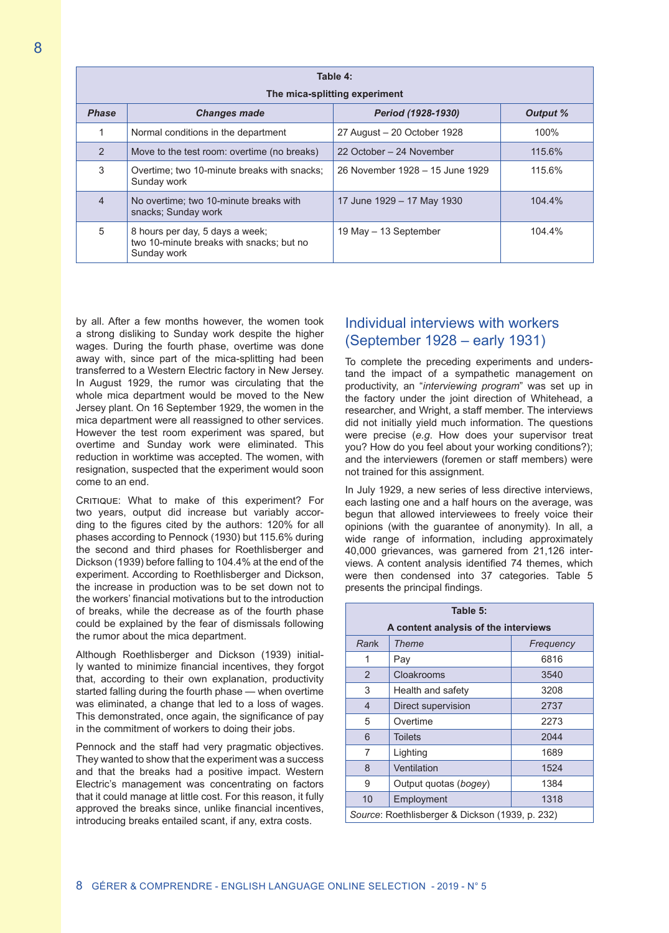| Table 4:<br>The mica-splitting experiment |                                                                                            |                                 |          |  |
|-------------------------------------------|--------------------------------------------------------------------------------------------|---------------------------------|----------|--|
| <b>Phase</b>                              | <b>Changes made</b>                                                                        | Period (1928-1930)              | Output % |  |
|                                           | Normal conditions in the department                                                        | 27 August - 20 October 1928     | 100%     |  |
| $\mathcal{P}$                             | Move to the test room: overtime (no breaks)                                                | 22 October – 24 November        | 115.6%   |  |
| 3                                         | Overtime; two 10-minute breaks with snacks;<br>Sunday work                                 | 26 November 1928 - 15 June 1929 | 115.6%   |  |
| $\overline{4}$                            | No overtime; two 10-minute breaks with<br>snacks; Sunday work                              | 17 June 1929 – 17 May 1930      | 104.4%   |  |
| 5                                         | 8 hours per day, 5 days a week;<br>two 10-minute breaks with snacks: but no<br>Sunday work | 19 May - 13 September           | 104.4%   |  |

by all. After a few months however, the women took a strong disliking to Sunday work despite the higher wages. During the fourth phase, overtime was done away with, since part of the mica-splitting had been transferred to a Western Electric factory in New Jersey. In August 1929, the rumor was circulating that the whole mica department would be moved to the New Jersey plant. On 16 September 1929, the women in the mica department were all reassigned to other services. However the test room experiment was spared, but overtime and Sunday work were eliminated. This reduction in worktime was accepted. The women, with resignation, suspected that the experiment would soon come to an end.

CRITIQUE: What to make of this experiment? For two years, output did increase but variably according to the figures cited by the authors: 120% for all phases according to Pennock (1930) but 115.6% during the second and third phases for Roethlisberger and Dickson (1939) before falling to 104.4% at the end of the experiment. According to Roethlisberger and Dickson, the increase in production was to be set down not to the workers' financial motivations but to the introduction of breaks, while the decrease as of the fourth phase could be explained by the fear of dismissals following the rumor about the mica department.

Although Roethlisberger and Dickson (1939) initially wanted to minimize financial incentives, they forgot that, according to their own explanation, productivity started falling during the fourth phase — when overtime was eliminated, a change that led to a loss of wages. This demonstrated, once again, the significance of pay in the commitment of workers to doing their jobs.

Pennock and the staff had very pragmatic objectives. They wanted to show that the experiment was a success and that the breaks had a positive impact. Western Electric's management was concentrating on factors that it could manage at little cost. For this reason, it fully approved the breaks since, unlike financial incentives, introducing breaks entailed scant, if any, extra costs.

#### Individual interviews with workers (September 1928 – early 1931)

To complete the preceding experiments and understand the impact of a sympathetic management on productivity, an "*interviewing program*" was set up in the factory under the joint direction of Whitehead, a researcher, and Wright, a staff member. The interviews did not initially yield much information. The questions were precise (*e.g*. How does your supervisor treat you? How do you feel about your working conditions?); and the interviewers (foremen or staff members) were not trained for this assignment.

In July 1929, a new series of less directive interviews, each lasting one and a half hours on the average, was begun that allowed interviewees to freely voice their opinions (with the guarantee of anonymity). In all, a wide range of information, including approximately 40,000 grievances, was garnered from 21,126 interviews. A content analysis identified 74 themes, which were then condensed into 37 categories. Table 5 presents the principal findings.

| Table 5:                                        |                       |           |  |
|-------------------------------------------------|-----------------------|-----------|--|
| A content analysis of the interviews            |                       |           |  |
| Rank                                            | Theme                 | Frequency |  |
| 1                                               | Pay                   | 6816      |  |
| $\overline{2}$                                  | Cloakrooms            | 3540      |  |
| 3                                               | Health and safety     | 3208      |  |
| $\overline{4}$                                  | Direct supervision    | 2737      |  |
| 5                                               | Overtime              | 2273      |  |
| 6                                               | <b>Toilets</b>        | 2044      |  |
| 7                                               | Lighting              | 1689      |  |
| 8                                               | Ventilation           | 1524      |  |
| 9                                               | Output quotas (bogey) | 1384      |  |
| 10                                              | Employment            | 1318      |  |
| Source: Roethlisberger & Dickson (1939, p. 232) |                       |           |  |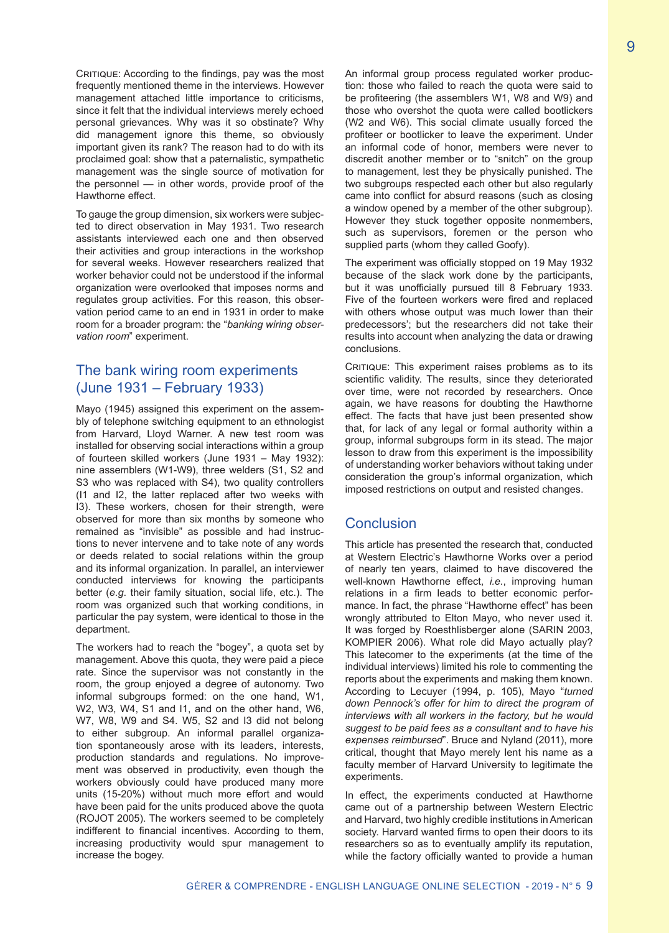CRITIQUE: According to the findings, pay was the most frequently mentioned theme in the interviews. However management attached little importance to criticisms, since it felt that the individual interviews merely echoed personal grievances. Why was it so obstinate? Why did management ignore this theme, so obviously important given its rank? The reason had to do with its proclaimed goal: show that a paternalistic, sympathetic management was the single source of motivation for the personnel — in other words, provide proof of the Hawthorne effect.

To gauge the group dimension, six workers were subjected to direct observation in May 1931. Two research assistants interviewed each one and then observed their activities and group interactions in the workshop for several weeks. However researchers realized that worker behavior could not be understood if the informal organization were overlooked that imposes norms and regulates group activities. For this reason, this observation period came to an end in 1931 in order to make room for a broader program: the "*banking wiring observation room*" experiment.

#### The bank wiring room experiments (June 1931 – February 1933)

Mayo (1945) assigned this experiment on the assembly of telephone switching equipment to an ethnologist from Harvard, Lloyd Warner. A new test room was installed for observing social interactions within a group of fourteen skilled workers (June 1931 – May 1932): nine assemblers (W1-W9), three welders (S1, S2 and S3 who was replaced with S4), two quality controllers (I1 and I2, the latter replaced after two weeks with I3). These workers, chosen for their strength, were observed for more than six months by someone who remained as "invisible" as possible and had instructions to never intervene and to take note of any words or deeds related to social relations within the group and its informal organization. In parallel, an interviewer conducted interviews for knowing the participants better (*e.g*. their family situation, social life, etc.). The room was organized such that working conditions, in particular the pay system, were identical to those in the department.

The workers had to reach the "bogey", a quota set by management. Above this quota, they were paid a piece rate. Since the supervisor was not constantly in the room, the group enjoyed a degree of autonomy. Two informal subgroups formed: on the one hand, W1, W2, W3, W4, S1 and I1, and on the other hand, W6, W7, W8, W9 and S4. W5, S2 and I3 did not belong to either subgroup. An informal parallel organization spontaneously arose with its leaders, interests, production standards and regulations. No improvement was observed in productivity, even though the workers obviously could have produced many more units (15-20%) without much more effort and would have been paid for the units produced above the quota (ROJOT 2005). The workers seemed to be completely indifferent to financial incentives. According to them, increasing productivity would spur management to increase the bogey.

An informal group process regulated worker production: those who failed to reach the quota were said to be profiteering (the assemblers W1, W8 and W9) and those who overshot the quota were called bootlickers (W2 and W6). This social climate usually forced the profiteer or bootlicker to leave the experiment. Under an informal code of honor, members were never to discredit another member or to "snitch" on the group to management, lest they be physically punished. The two subgroups respected each other but also regularly came into conflict for absurd reasons (such as closing a window opened by a member of the other subgroup). However they stuck together opposite nonmembers, such as supervisors, foremen or the person who supplied parts (whom they called Goofy).

The experiment was officially stopped on 19 May 1932 because of the slack work done by the participants, but it was unofficially pursued till 8 February 1933. Five of the fourteen workers were fired and replaced with others whose output was much lower than their predecessors'; but the researchers did not take their results into account when analyzing the data or drawing conclusions.

CRITIQUE: This experiment raises problems as to its scientific validity. The results, since they deteriorated over time, were not recorded by researchers. Once again, we have reasons for doubting the Hawthorne effect. The facts that have just been presented show that, for lack of any legal or formal authority within a group, informal subgroups form in its stead. The major lesson to draw from this experiment is the impossibility of understanding worker behaviors without taking under consideration the group's informal organization, which imposed restrictions on output and resisted changes.

#### **Conclusion**

This article has presented the research that, conducted at Western Electric's Hawthorne Works over a period of nearly ten years, claimed to have discovered the well-known Hawthorne effect, *i.e.*, improving human relations in a firm leads to better economic performance. In fact, the phrase "Hawthorne effect" has been wrongly attributed to Elton Mayo, who never used it. It was forged by Roesthlisberger alone (SARIN 2003, KOMPIER 2006). What role did Mayo actually play? This latecomer to the experiments (at the time of the individual interviews) limited his role to commenting the reports about the experiments and making them known. According to Lecuyer (1994, p. 105), Mayo "*turned down Pennock's offer for him to direct the program of interviews with all workers in the factory, but he would suggest to be paid fees as a consultant and to have his expenses reimbursed*". Bruce and Nyland (2011), more critical, thought that Mayo merely lent his name as a faculty member of Harvard University to legitimate the experiments.

In effect, the experiments conducted at Hawthorne came out of a partnership between Western Electric and Harvard, two highly credible institutions in American society. Harvard wanted firms to open their doors to its researchers so as to eventually amplify its reputation, while the factory officially wanted to provide a human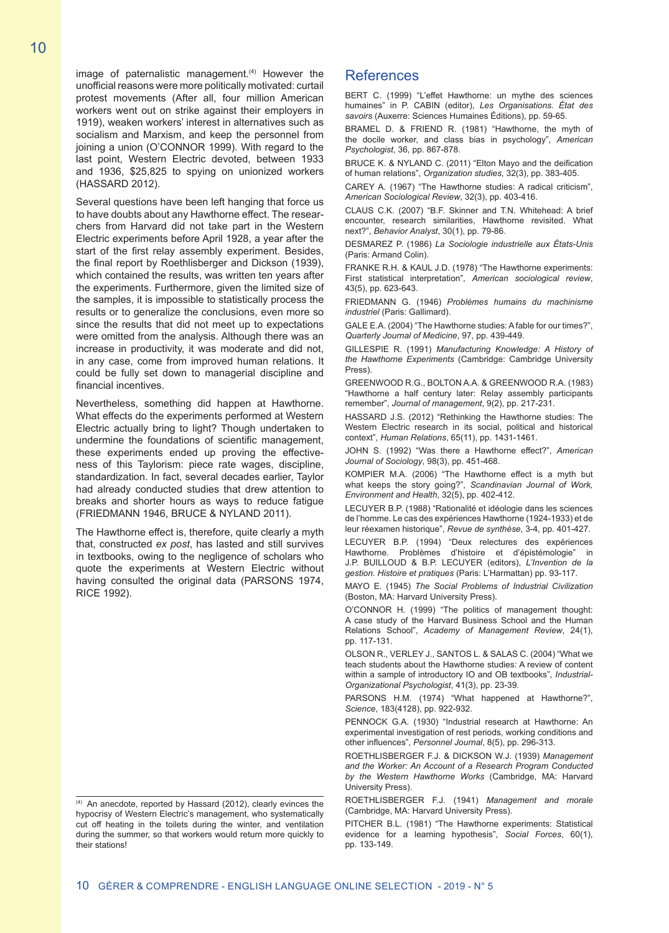image of paternalistic management. $(4)$  However the unofficial reasons were more politically motivated: curtail protest movements (After all, four million American workers went out on strike against their employers in 1919), weaken workers' interest in alternatives such as socialism and Marxism, and keep the personnel from joining a union (O'CONNOR 1999). With regard to the last point, Western Electric devoted, between 1933 and 1936, \$25,825 to spying on unionized workers (HASSARD 2012).

Several questions have been left hanging that force us to have doubts about any Hawthorne effect. The researchers from Harvard did not take part in the Western Electric experiments before April 1928, a year after the start of the first relay assembly experiment. Besides, the final report by Roethlisberger and Dickson (1939), which contained the results, was written ten years after the experiments. Furthermore, given the limited size of the samples, it is impossible to statistically process the results or to generalize the conclusions, even more so since the results that did not meet up to expectations were omitted from the analysis. Although there was an increase in productivity, it was moderate and did not, in any case, come from improved human relations. It could be fully set down to managerial discipline and financial incentives.

Nevertheless, something did happen at Hawthorne. What effects do the experiments performed at Western Electric actually bring to light? Though undertaken to undermine the foundations of scientific management, these experiments ended up proving the effectiveness of this Taylorism: piece rate wages, discipline, standardization. In fact, several decades earlier, Taylor had already conducted studies that drew attention to breaks and shorter hours as ways to reduce fatigue (FRIEDMANN 1946, BRUCE & NYLAND 2011).

The Hawthorne effect is, therefore, quite clearly a myth that, constructed *ex post*, has lasted and still survives in textbooks, owing to the negligence of scholars who quote the experiments at Western Electric without having consulted the original data (PARSONS 1974, RICE 1992).

# References

BERT C. (1999) "L'effet Hawthorne: un mythe des sciences humaines" in P. CABIN (editor), *Les Organisations. État des savoirs* (Auxerre: Sciences Humaines Éditions), pp. 59-65.

BRAMEL D. & FRIEND R. (1981) "Hawthorne, the myth of the docile worker, and class bias in psychology", *American Psychologist*, 36, pp. 867-878.

BRUCE K. & NYLAND C. (2011) "Elton Mayo and the deification of human relations", *Organization studies*, 32(3), pp. 383-405.

CAREY A. (1967) "The Hawthorne studies: A radical criticism", *American Sociological Review*, 32(3), pp. 403-416.

CLAUS C.K. (2007) "B.F. Skinner and T.N. Whitehead: A brief encounter, research similarities, Hawthorne revisited. What next?", *Behavior Analyst*, 30(1), pp. 79-86.

DESMAREZ P. (1986) *La Sociologie industrielle aux États-Unis* (Paris: Armand Colin).

FRANKE R.H. & KAUL J.D. (1978) "The Hawthorne experiments: First statistical interpretation", *American sociological review*, 43(5), pp. 623-643.

FRIEDMANN G. (1946) *Problèmes humains du machinisme industriel* (Paris: Gallimard).

GALE E.A. (2004) "The Hawthorne studies: A fable for our times?", *Quarterly Journal of Medicine*, 97, pp. 439-449.

GILLESPIE R. (1991) *Manufacturing Knowledge: A History of the Hawthorne Experiments* (Cambridge: Cambridge University Press).

GREENWOOD R.G., BOLTON A.A. & GREENWOOD R.A. (1983) "Hawthorne a half century later: Relay assembly participants remember", *Journal of management*, 9(2), pp. 217-231.

HASSARD J.S. (2012) "Rethinking the Hawthorne studies: The Western Electric research in its social, political and historical context", *Human Relations*, 65(11), pp. 1431-1461.

JOHN S. (1992) "Was there a Hawthorne effect?", *American Journal of Sociology*, 98(3), pp. 451-468.

KOMPIER M.A. (2006) "The Hawthorne effect is a myth but what keeps the story going?", *Scandinavian Journal of Work, Environment and Health*, 32(5), pp. 402-412.

LECUYER B.P. (1988) "Rationalité et idéologie dans les sciences de l'homme. Le cas des expériences Hawthorne (1924-1933) et de leur réexamen historique", *Revue de synthèse*, 3-4, pp. 401-427.

LECUYER B.P. (1994) "Deux relectures des expériences Hawthorne. Problèmes d'histoire et d'épistémologie" J.P. BUILLOUD & B.P. LECUYER (editors), *L'Invention de la gestion. Histoire et pratiques* (Paris: L'Harmattan) pp. 93-117.

MAYO E. (1945) *The Social Problems of Industrial Civilization* (Boston, MA: Harvard University Press).

O'CONNOR H. (1999) "The politics of management thought: A case study of the Harvard Business School and the Human Relations School", *Academy of Management Review*, 24(1), pp. 117-131.

OLSON R., VERLEY J., SANTOS L. & SALAS C. (2004) "What we teach students about the Hawthorne studies: A review of content within a sample of introductory IO and OB textbooks", *Industrial-Organizational Psychologist*, 41(3), pp. 23-39.

PARSONS H.M. (1974) "What happened at Hawthorne?", *Science*, 183(4128), pp. 922-932.

PENNOCK G.A. (1930) "Industrial research at Hawthorne: An experimental investigation of rest periods, working conditions and other influences", *Personnel Journal*, 8(5), pp. 296-313.

ROETHLISBERGER F.J. & DICKSON W.J. (1939) *Management and the Worker: An Account of a Research Program Conducted by the Western Hawthorne Works* (Cambridge, MA: Harvard University Press).

ROETHLISBERGER F.J. (1941) *Management and morale* (Cambridge, MA: Harvard University Press).

PITCHER B.L. (1981) "The Hawthorne experiments: Statistical evidence for a learning hypothesis", *Social Forces*, 60(1), pp. 133-149.

<sup>(4)</sup> An anecdote, reported by Hassard (2012), clearly evinces the hypocrisy of Western Electric's management, who systematically cut off heating in the toilets during the winter, and ventilation during the summer, so that workers would return more quickly to their stations!